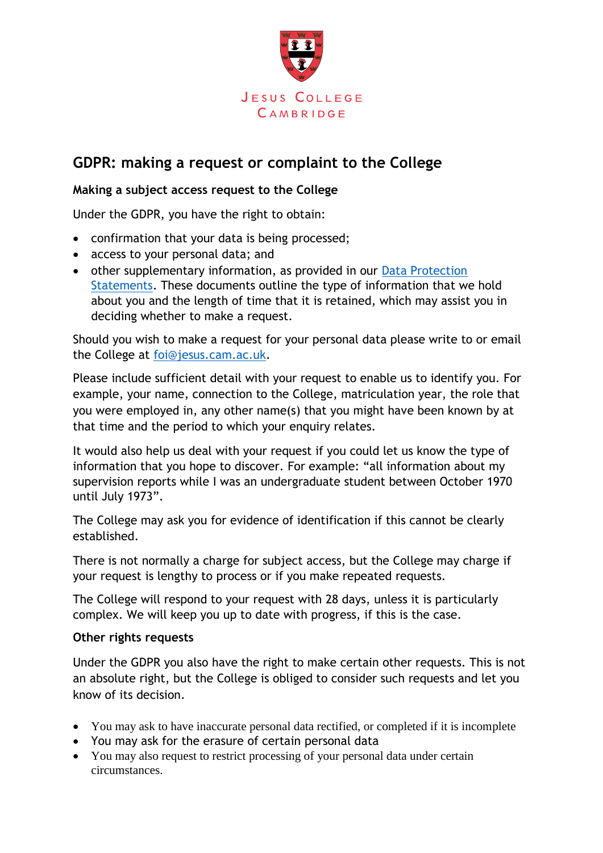

## **GDPR: making a request or complaint to the College**

## **Making a subject access request to the College**

Under the GDPR, you have the right to obtain:

- confirmation that your data is being processed;
- access to your personal data; and
- other supplementary information, as provided in our Data Protection [Statements.](https://www.jesus.cam.ac.uk/college/about-us/data-protection) These documents outline the type of information that we hold about you and the length of time that it is retained, which may assist you in deciding whether to make a request.

Should you wish to make a request for your personal data please write to or email the College at [foi@jesus.cam.ac.uk.](mailto:foi@jesus.cam.ac.uk)

Please include sufficient detail with your request to enable us to identify you. For example, your name, connection to the College, matriculation year, the role that you were employed in, any other name(s) that you might have been known by at that time and the period to which your enquiry relates.

It would also help us deal with your request if you could let us know the type of information that you hope to discover. For example: "all information about my supervision reports while I was an undergraduate student between October 1970 until July 1973".

The College may ask you for evidence of identification if this cannot be clearly established.

There is not normally a charge for subject access, but the College may charge if your request is lengthy to process or if you make repeated requests.

The College will respond to your request with 28 days, unless it is particularly complex. We will keep you up to date with progress, if this is the case.

## **Other rights requests**

Under the GDPR you also have the right to make certain other requests. This is not an absolute right, but the College is obliged to consider such requests and let you know of its decision.

- You may ask to have inaccurate personal data rectified, or completed if it is incomplete
- You may ask for the erasure of certain personal data
- You may also request to restrict processing of your personal data under certain circumstances.